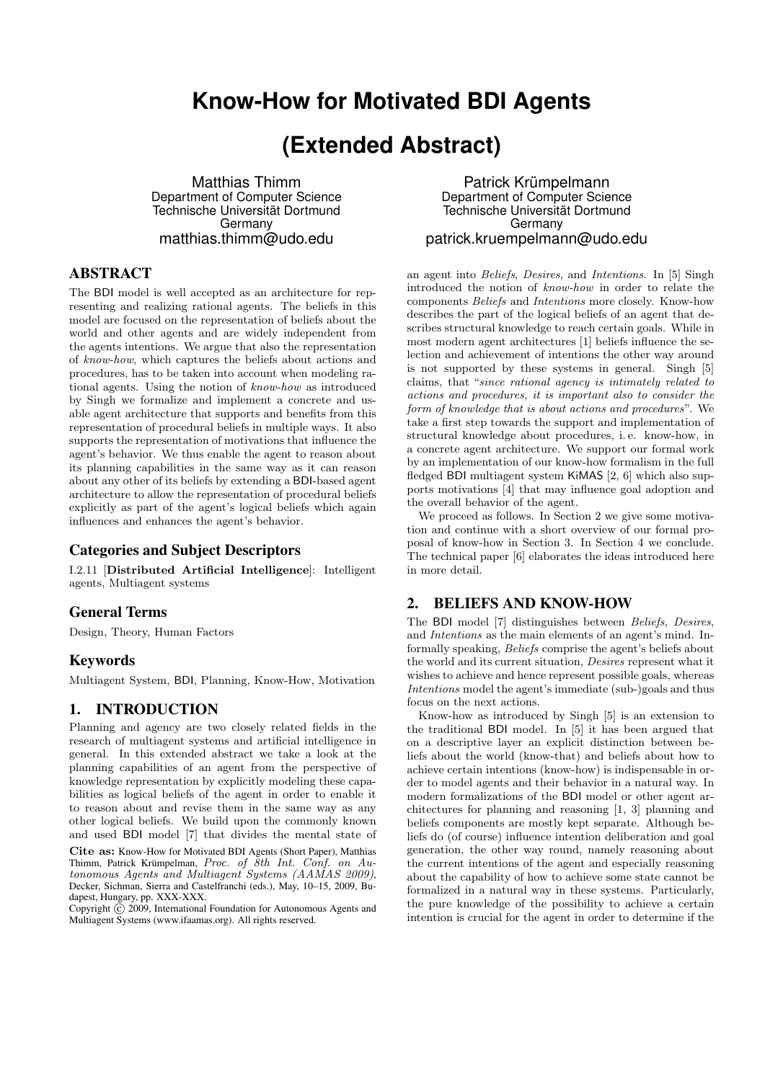# **Know-How for Motivated BDI Agents**

# **(Extended Abstract)**

Matthias Thimm Department of Computer Science Technische Universität Dortmund **Germany** matthias.thimm@udo.edu

## ABSTRACT

The BDI model is well accepted as an architecture for representing and realizing rational agents. The beliefs in this model are focused on the representation of beliefs about the world and other agents and are widely independent from the agents intentions. We argue that also the representation of know-how, which captures the beliefs about actions and procedures, has to be taken into account when modeling rational agents. Using the notion of know-how as introduced by Singh we formalize and implement a concrete and usable agent architecture that supports and benefits from this representation of procedural beliefs in multiple ways. It also supports the representation of motivations that influence the agent's behavior. We thus enable the agent to reason about its planning capabilities in the same way as it can reason about any other of its beliefs by extending a BDI-based agent architecture to allow the representation of procedural beliefs explicitly as part of the agent's logical beliefs which again influences and enhances the agent's behavior.

#### Categories and Subject Descriptors

I.2.11 [Distributed Artificial Intelligence]: Intelligent agents, Multiagent systems

#### General Terms

Design, Theory, Human Factors

#### Keywords

Multiagent System, BDI, Planning, Know-How, Motivation

## 1. INTRODUCTION

Planning and agency are two closely related fields in the research of multiagent systems and artificial intelligence in general. In this extended abstract we take a look at the planning capabilities of an agent from the perspective of knowledge representation by explicitly modeling these capabilities as logical beliefs of the agent in order to enable it to reason about and revise them in the same way as any other logical beliefs. We build upon the commonly known and used BDI model [7] that divides the mental state of

Cite as: Know-How for Motivated BDI Agents (Short Paper), Matthias Thimm, Patrick Krümpelman, Proc. of 8th Int. Conf. on Autonomous Agents and Multiagent Systems (AAMAS 2009), Decker, Sichman, Sierra and Castelfranchi (eds.), May, 10–15, 2009, Budapest, Hungary, pp. XXX-XXX.

Copyright  $\tilde{c}$  2009, International Foundation for Autonomous Agents and Multiagent Systems (www.ifaamas.org). All rights reserved.

Patrick Krümpelmann Department of Computer Science Technische Universität Dortmund Germany patrick.kruempelmann@udo.edu

an agent into Beliefs, Desires, and Intentions. In [5] Singh introduced the notion of know-how in order to relate the components Beliefs and Intentions more closely. Know-how describes the part of the logical beliefs of an agent that describes structural knowledge to reach certain goals. While in most modern agent architectures [1] beliefs influence the selection and achievement of intentions the other way around is not supported by these systems in general. Singh [5] claims, that "since rational agency is intimately related to actions and procedures, it is important also to consider the form of knowledge that is about actions and procedures". We take a first step towards the support and implementation of structural knowledge about procedures, i. e. know-how, in a concrete agent architecture. We support our formal work by an implementation of our know-how formalism in the full fledged BDI multiagent system KiMAS [2, 6] which also supports motivations [4] that may influence goal adoption and the overall behavior of the agent.

We proceed as follows. In Section 2 we give some motivation and continue with a short overview of our formal proposal of know-how in Section 3. In Section 4 we conclude. The technical paper [6] elaborates the ideas introduced here in more detail.

## 2. BELIEFS AND KNOW-HOW

The BDI model [7] distinguishes between Beliefs, Desires, and Intentions as the main elements of an agent's mind. Informally speaking, Beliefs comprise the agent's beliefs about the world and its current situation, Desires represent what it wishes to achieve and hence represent possible goals, whereas Intentions model the agent's immediate (sub-)goals and thus focus on the next actions.

Know-how as introduced by Singh [5] is an extension to the traditional BDI model. In [5] it has been argued that on a descriptive layer an explicit distinction between beliefs about the world (know-that) and beliefs about how to achieve certain intentions (know-how) is indispensable in order to model agents and their behavior in a natural way. In modern formalizations of the BDI model or other agent architectures for planning and reasoning [1, 3] planning and beliefs components are mostly kept separate. Although beliefs do (of course) influence intention deliberation and goal generation, the other way round, namely reasoning about the current intentions of the agent and especially reasoning about the capability of how to achieve some state cannot be formalized in a natural way in these systems. Particularly, the pure knowledge of the possibility to achieve a certain intention is crucial for the agent in order to determine if the